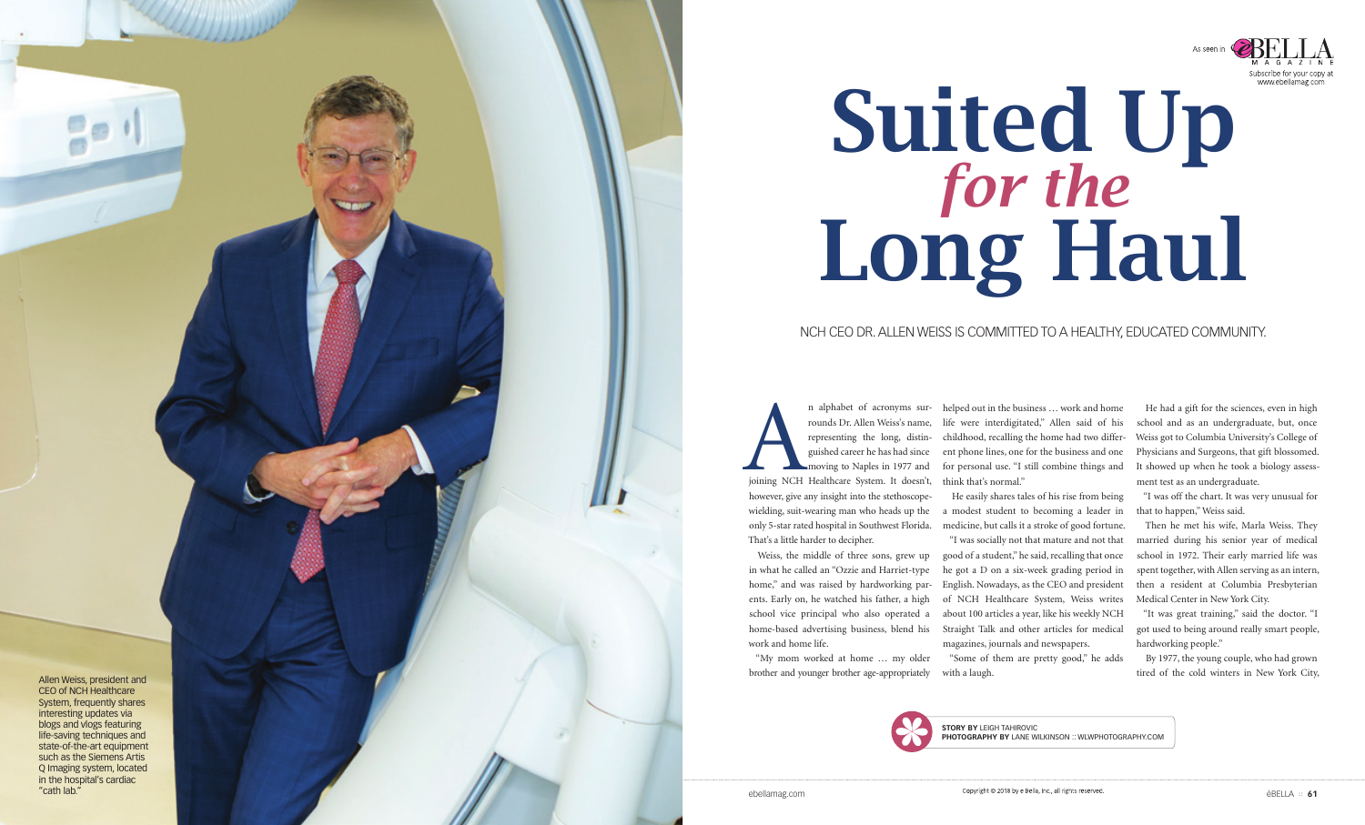Allen Weiss, president and CEO of NCH Healthcare System, frequently shares interesting updates via blogs and vlogs featuring life-saving techniques and state-of-the-art equipment such as the Siemens Artis Q Imaging system, located in the hospital's cardiac "cath lab."

# NCH CEO DR. ALLEN WEISS IS COMMITTED TO A HEALTHY, EDUCATED COMMUNITY.

n alphabet of acronyms sur-<br>
rounds Dr. Allen Weiss's name,<br>
representing the long, distinguished career he has had since<br>
moving to Naples in 1977 and<br>
joining NCH Healthcare System. It doesn't, rounds Dr. Allen Weiss's name, representing the long, distin guished career he has had since moving to Naples in 1977 and however, give any insight into the stethoscopewielding, suit-wearing man who heads up the only 5-star rated hospital in Southwest Florida. That's a little harder to decipher. n alphabet of acronyms sur- helped out in the business ... work and home life were interdigitated," Allen said of his childhood, recalling the home had two differ ent phone lines, one for the business and one for personal use. "I still combine things and think that's normal." He easily shares tales of his rise from being a modest student to becoming a leader in medicine, but calls it a stroke of good fortune.

Weiss, the middle of three sons, grew up in what he called an "Ozzie and Harriet-type home," and was raised by hardworking par ents. Early on, he watched his father, a high school vice principal who also operated a home-based advertising business, blend his work and home life.

"My mom worked at home … my older brother and younger brother age-appropriately "Some of them are pretty good," he adds with a laugh.



"I was socially not that mature and not that good of a student," he said, recalling that once he got a D on a six-week grading period in English. Nowadays, as the CEO and president of NCH Healthcare System, Weiss writes about 100 articles a year, like his weekly NCH Straight Talk and other articles for medical magazines, journals and newspapers.

He had a gift for the sciences, even in high school and as an undergraduate, but, once Weiss got to Columbia University's College of Physicians and Surgeons, that gift blossomed. It showed up when he took a biology assess ment test as an undergraduate.

"I was off the chart. It was very unusual for that to happen," Weiss said.

Then he met his wife, Marla Weiss. They married during his senior year of medical school in 1972. Their early married life was spent together, with Allen serving as an intern, then a resident at Columbia Presbyterian Medical Center in New York City.

"It was great training," said the doctor. "I got used to being around really smart people, hardworking people."

By 1977, the young couple, who had grown tired of the cold winters in New York City,

**STORY BY** LEIGH TAHIROVIC **PHOTOGRAPHY BY** LANE WILKINSON :: WLWPHOTOGRAPHY.COM

Copyright @ 2018 by e Bella, Inc., all rights reserved

# Suited U[p](http://www.ebellamag.com) *for the*  Long Haul